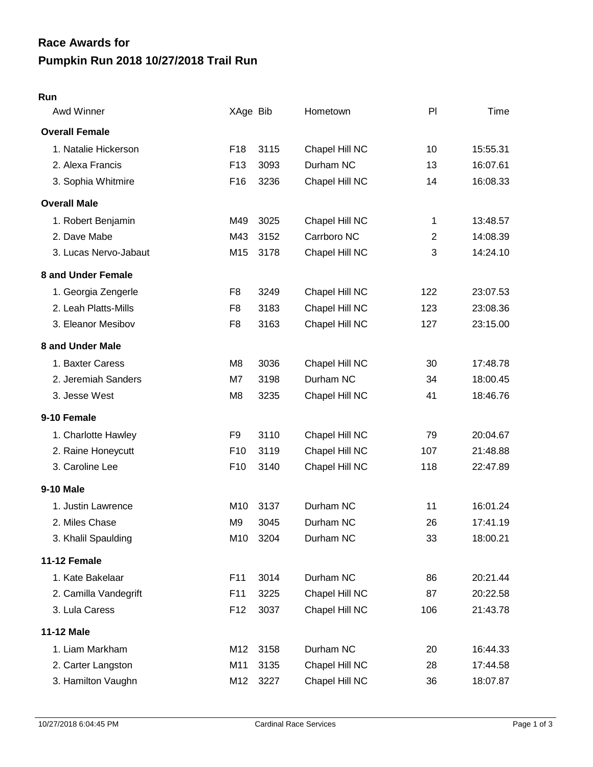## **Pumpkin Run 2018 10/27/2018 Trail Run Race Awards for**

## **Run**

| Awd Winner            | XAge Bib        |      | Hometown       | PI             | Time     |
|-----------------------|-----------------|------|----------------|----------------|----------|
| <b>Overall Female</b> |                 |      |                |                |          |
| 1. Natalie Hickerson  | F <sub>18</sub> | 3115 | Chapel Hill NC | 10             | 15:55.31 |
| 2. Alexa Francis      | F <sub>13</sub> | 3093 | Durham NC      | 13             | 16:07.61 |
| 3. Sophia Whitmire    | F <sub>16</sub> | 3236 | Chapel Hill NC | 14             | 16:08.33 |
| <b>Overall Male</b>   |                 |      |                |                |          |
| 1. Robert Benjamin    | M49             | 3025 | Chapel Hill NC | 1              | 13:48.57 |
| 2. Dave Mabe          | M43             | 3152 | Carrboro NC    | $\overline{2}$ | 14:08.39 |
| 3. Lucas Nervo-Jabaut | M15             | 3178 | Chapel Hill NC | 3              | 14:24.10 |
| 8 and Under Female    |                 |      |                |                |          |
| 1. Georgia Zengerle   | F <sub>8</sub>  | 3249 | Chapel Hill NC | 122            | 23:07.53 |
| 2. Leah Platts-Mills  | F <sub>8</sub>  | 3183 | Chapel Hill NC | 123            | 23:08.36 |
| 3. Eleanor Mesibov    | F <sub>8</sub>  | 3163 | Chapel Hill NC | 127            | 23:15.00 |
| 8 and Under Male      |                 |      |                |                |          |
| 1. Baxter Caress      | M8              | 3036 | Chapel Hill NC | 30             | 17:48.78 |
| 2. Jeremiah Sanders   | M7              | 3198 | Durham NC      | 34             | 18:00.45 |
| 3. Jesse West         | M <sub>8</sub>  | 3235 | Chapel Hill NC | 41             | 18:46.76 |
| 9-10 Female           |                 |      |                |                |          |
| 1. Charlotte Hawley   | F <sub>9</sub>  | 3110 | Chapel Hill NC | 79             | 20:04.67 |
| 2. Raine Honeycutt    | F <sub>10</sub> | 3119 | Chapel Hill NC | 107            | 21:48.88 |
| 3. Caroline Lee       | F <sub>10</sub> | 3140 | Chapel Hill NC | 118            | 22:47.89 |
| 9-10 Male             |                 |      |                |                |          |
| 1. Justin Lawrence    | M10             | 3137 | Durham NC      | 11             | 16:01.24 |
| 2. Miles Chase        | M <sub>9</sub>  | 3045 | Durham NC      | 26             | 17:41.19 |
| 3. Khalil Spaulding   | M10             | 3204 | Durham NC      | 33             | 18:00.21 |
| 11-12 Female          |                 |      |                |                |          |
| 1. Kate Bakelaar      | F11             | 3014 | Durham NC      | 86             | 20:21.44 |
| 2. Camilla Vandegrift | F11             | 3225 | Chapel Hill NC | 87             | 20:22.58 |
| 3. Lula Caress        | F <sub>12</sub> | 3037 | Chapel Hill NC | 106            | 21:43.78 |
| <b>11-12 Male</b>     |                 |      |                |                |          |
| 1. Liam Markham       | M12             | 3158 | Durham NC      | 20             | 16:44.33 |
| 2. Carter Langston    | M11             | 3135 | Chapel Hill NC | 28             | 17:44.58 |
| 3. Hamilton Vaughn    | M12             | 3227 | Chapel Hill NC | 36             | 18:07.87 |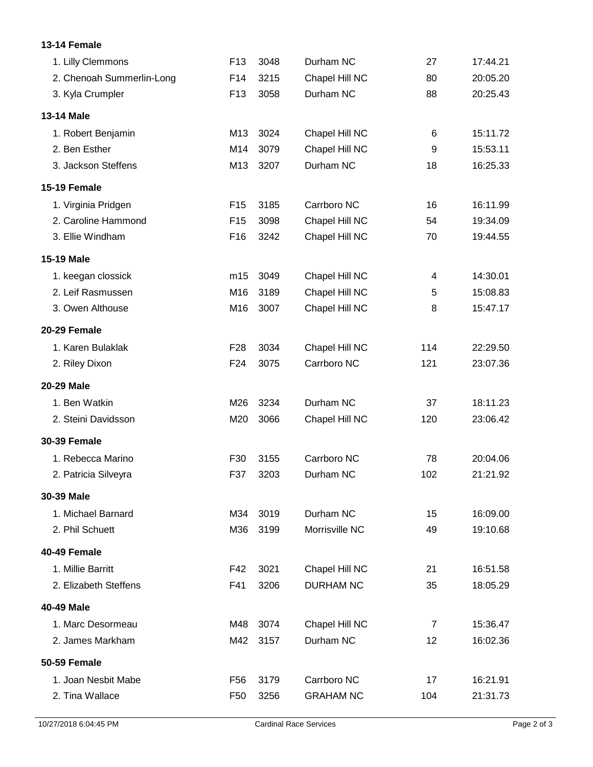## **13-14 Female**

| 1. Lilly Clemmons         | F <sub>13</sub> | 3048 | Durham NC        | 27             | 17:44.21 |
|---------------------------|-----------------|------|------------------|----------------|----------|
| 2. Chenoah Summerlin-Long | F14             | 3215 | Chapel Hill NC   | 80             | 20:05.20 |
| 3. Kyla Crumpler          | F <sub>13</sub> | 3058 | Durham NC        | 88             | 20:25.43 |
| <b>13-14 Male</b>         |                 |      |                  |                |          |
| 1. Robert Benjamin        | M13             | 3024 | Chapel Hill NC   | 6              | 15:11.72 |
| 2. Ben Esther             | M14             | 3079 | Chapel Hill NC   | 9              | 15:53.11 |
| 3. Jackson Steffens       | M13             | 3207 | Durham NC        | 18             | 16:25.33 |
| 15-19 Female              |                 |      |                  |                |          |
| 1. Virginia Pridgen       | F <sub>15</sub> | 3185 | Carrboro NC      | 16             | 16:11.99 |
| 2. Caroline Hammond       | F <sub>15</sub> | 3098 | Chapel Hill NC   | 54             | 19:34.09 |
| 3. Ellie Windham          | F16             | 3242 | Chapel Hill NC   | 70             | 19:44.55 |
| 15-19 Male                |                 |      |                  |                |          |
| 1. keegan clossick        | m15             | 3049 | Chapel Hill NC   | 4              | 14:30.01 |
| 2. Leif Rasmussen         | M16             | 3189 | Chapel Hill NC   | 5              | 15:08.83 |
| 3. Owen Althouse          | M16             | 3007 | Chapel Hill NC   | 8              | 15:47.17 |
| 20-29 Female              |                 |      |                  |                |          |
| 1. Karen Bulaklak         | F <sub>28</sub> | 3034 | Chapel Hill NC   | 114            | 22:29.50 |
| 2. Riley Dixon            | F <sub>24</sub> | 3075 | Carrboro NC      | 121            | 23:07.36 |
| 20-29 Male                |                 |      |                  |                |          |
| 1. Ben Watkin             | M26             | 3234 | Durham NC        | 37             | 18:11.23 |
| 2. Steini Davidsson       | M20             | 3066 | Chapel Hill NC   | 120            | 23:06.42 |
| <b>30-39 Female</b>       |                 |      |                  |                |          |
| 1. Rebecca Marino         | F30             | 3155 | Carrboro NC      | 78             | 20:04.06 |
| 2. Patricia Silveyra      | F37             | 3203 | Durham NC        | 102            | 21:21.92 |
| 30-39 Male                |                 |      |                  |                |          |
| 1. Michael Barnard        | M34             | 3019 | Durham NC        | 15             | 16:09.00 |
| 2. Phil Schuett           | M36             | 3199 | Morrisville NC   | 49             | 19:10.68 |
| 40-49 Female              |                 |      |                  |                |          |
| 1. Millie Barritt         | F42             | 3021 | Chapel Hill NC   | 21             | 16:51.58 |
| 2. Elizabeth Steffens     | F41             | 3206 | <b>DURHAM NC</b> | 35             | 18:05.29 |
| 40-49 Male                |                 |      |                  |                |          |
| 1. Marc Desormeau         | M48             | 3074 | Chapel Hill NC   | $\overline{7}$ | 15:36.47 |
| 2. James Markham          | M42             | 3157 | Durham NC        | 12             | 16:02.36 |
| 50-59 Female              |                 |      |                  |                |          |
| 1. Joan Nesbit Mabe       | F <sub>56</sub> | 3179 | Carrboro NC      | 17             | 16:21.91 |
| 2. Tina Wallace           | F <sub>50</sub> | 3256 | <b>GRAHAM NC</b> | 104            | 21:31.73 |